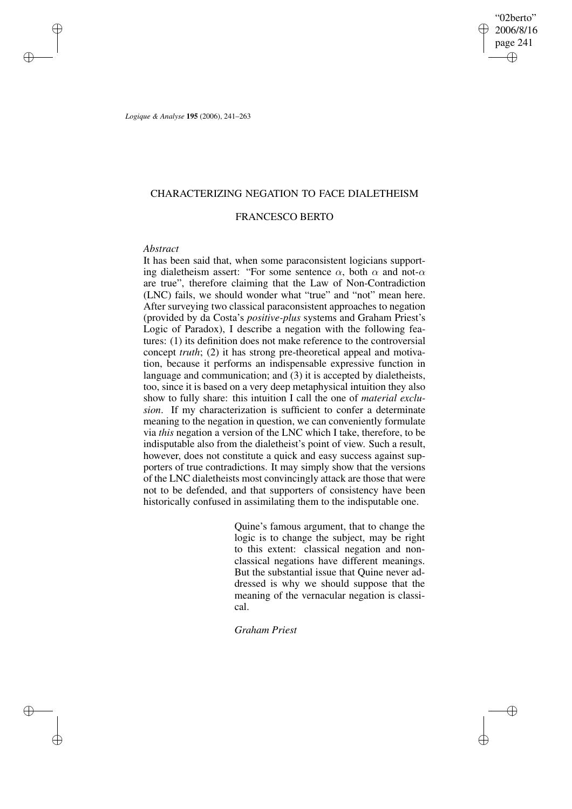"02berto" 2006/8/16 page 241 ✐ ✐

✐

✐

*Logique & Analyse* **195** (2006), 241–263

# CHARACTERIZING NEGATION TO FACE DIALETHEISM

# FRANCESCO BERTO

## *Abstract*

✐

✐

✐

✐

It has been said that, when some paraconsistent logicians supporting dialetheism assert: "For some sentence  $\alpha$ , both  $\alpha$  and not- $\alpha$ are true", therefore claiming that the Law of Non-Contradiction (LNC) fails, we should wonder what "true" and "not" mean here. After surveying two classical paraconsistent approaches to negation (provided by da Costa's *positive-plus* systems and Graham Priest's Logic of Paradox), I describe a negation with the following features: (1) its definition does not make reference to the controversial concept *truth*; (2) it has strong pre-theoretical appeal and motivation, because it performs an indispensable expressive function in language and communication; and (3) it is accepted by dialetheists, too, since it is based on a very deep metaphysical intuition they also show to fully share: this intuition I call the one of *material exclusion*. If my characterization is sufficient to confer a determinate meaning to the negation in question, we can conveniently formulate via *this* negation a version of the LNC which I take, therefore, to be indisputable also from the dialetheist's point of view. Such a result, however, does not constitute a quick and easy success against supporters of true contradictions. It may simply show that the versions of the LNC dialetheists most convincingly attack are those that were not to be defended, and that supporters of consistency have been historically confused in assimilating them to the indisputable one.

> Quine's famous argument, that to change the logic is to change the subject, may be right to this extent: classical negation and nonclassical negations have different meanings. But the substantial issue that Quine never addressed is why we should suppose that the meaning of the vernacular negation is classical.

*Graham Priest*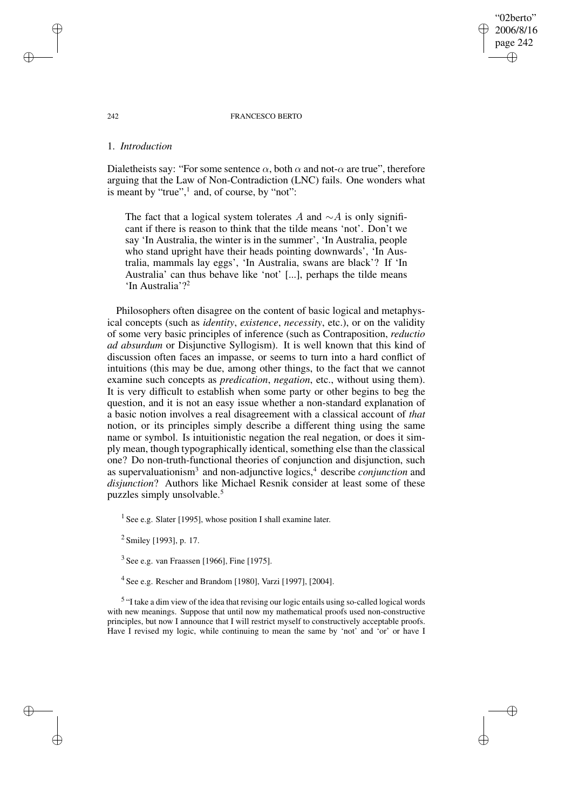#### 242 FRANCESCO BERTO

"02berto" 2006/8/16 page 242

✐

✐

✐

✐

## 1. *Introduction*

Dialetheists say: "For some sentence  $\alpha$ , both  $\alpha$  and not- $\alpha$  are true", therefore arguing that the Law of Non-Contradiction (LNC) fails. One wonders what is meant by "true",<sup>1</sup> and, of course, by "not":

The fact that a logical system tolerates A and  $\sim$ A is only significant if there is reason to think that the tilde means 'not'. Don't we say 'In Australia, the winter is in the summer', 'In Australia, people who stand upright have their heads pointing downwards', 'In Australia, mammals lay eggs', 'In Australia, swans are black'? If 'In Australia' can thus behave like 'not' [...], perhaps the tilde means 'In Australia'?<sup>2</sup>

Philosophers often disagree on the content of basic logical and metaphysical concepts (such as *identity*, *existence*, *necessity*, etc.), or on the validity of some very basic principles of inference (such as Contraposition, *reductio ad absurdum* or Disjunctive Syllogism). It is well known that this kind of discussion often faces an impasse, or seems to turn into a hard conflict of intuitions (this may be due, among other things, to the fact that we cannot examine such concepts as *predication*, *negation*, etc., without using them). It is very difficult to establish when some party or other begins to beg the question, and it is not an easy issue whether a non-standard explanation of a basic notion involves a real disagreement with a classical account of *that* notion, or its principles simply describe a different thing using the same name or symbol. Is intuitionistic negation the real negation, or does it simply mean, though typographically identical, something else than the classical one? Do non-truth-functional theories of conjunction and disjunction, such as supervaluationism<sup>3</sup> and non-adjunctive logics,<sup>4</sup> describe *conjunction* and *disjunction*? Authors like Michael Resnik consider at least some of these puzzles simply unsolvable.<sup>5</sup>

<sup>1</sup> See e.g. Slater [1995], whose position I shall examine later.

<sup>2</sup> Smiley [1993], p. 17.

 $3$  See e.g. van Fraassen [1966], Fine [1975].

4 See e.g. Rescher and Brandom [1980], Varzi [1997], [2004].

<sup>5</sup> "I take a dim view of the idea that revising our logic entails using so-called logical words with new meanings. Suppose that until now my mathematical proofs used non-constructive principles, but now I announce that I will restrict myself to constructively acceptable proofs. Have I revised my logic, while continuing to mean the same by 'not' and 'or' or have I

✐

✐

✐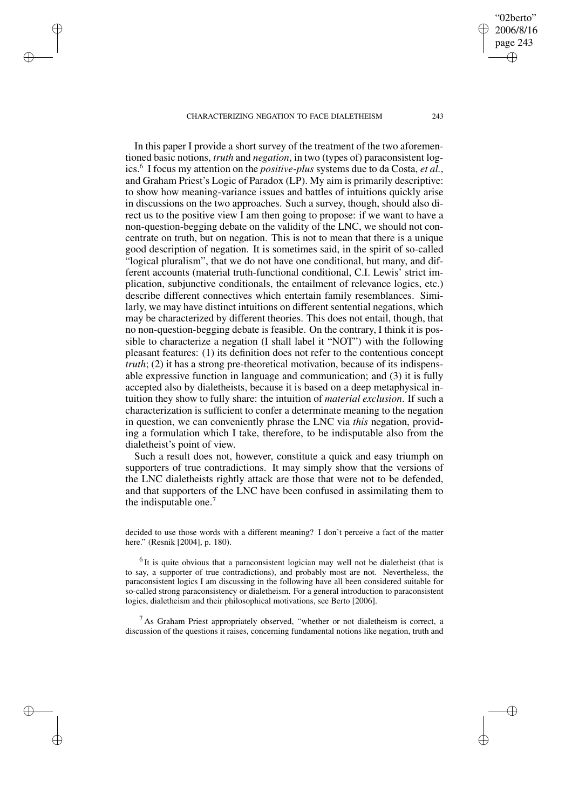✐

✐

✐

✐

In this paper I provide a short survey of the treatment of the two aforementioned basic notions, *truth* and *negation*, in two (types of) paraconsistent logics.<sup>6</sup> I focus my attention on the *positive-plus* systems due to da Costa, *et al.*, and Graham Priest's Logic of Paradox (LP). My aim is primarily descriptive: to show how meaning-variance issues and battles of intuitions quickly arise in discussions on the two approaches. Such a survey, though, should also direct us to the positive view I am then going to propose: if we want to have a non-question-begging debate on the validity of the LNC, we should not concentrate on truth, but on negation. This is not to mean that there is a unique good description of negation. It is sometimes said, in the spirit of so-called "logical pluralism", that we do not have one conditional, but many, and different accounts (material truth-functional conditional, C.I. Lewis' strict implication, subjunctive conditionals, the entailment of relevance logics, etc.) describe different connectives which entertain family resemblances. Similarly, we may have distinct intuitions on different sentential negations, which may be characterized by different theories. This does not entail, though, that no non-question-begging debate is feasible. On the contrary, I think it is possible to characterize a negation (I shall label it "NOT") with the following pleasant features: (1) its definition does not refer to the contentious concept *truth*; (2) it has a strong pre-theoretical motivation, because of its indispensable expressive function in language and communication; and (3) it is fully accepted also by dialetheists, because it is based on a deep metaphysical intuition they show to fully share: the intuition of *material exclusion*. If such a characterization is sufficient to confer a determinate meaning to the negation in question, we can conveniently phrase the LNC via *this* negation, providing a formulation which I take, therefore, to be indisputable also from the dialetheist's point of view.

Such a result does not, however, constitute a quick and easy triumph on supporters of true contradictions. It may simply show that the versions of the LNC dialetheists rightly attack are those that were not to be defended, and that supporters of the LNC have been confused in assimilating them to the indisputable one.<sup>7</sup>

decided to use those words with a different meaning? I don't perceive a fact of the matter here." (Resnik [2004], p. 180).

 $<sup>6</sup>$  It is quite obvious that a paraconsistent logician may well not be dialetheist (that is</sup> to say, a supporter of true contradictions), and probably most are not. Nevertheless, the paraconsistent logics I am discussing in the following have all been considered suitable for so-called strong paraconsistency or dialetheism. For a general introduction to paraconsistent logics, dialetheism and their philosophical motivations, see Berto [2006].

 $<sup>7</sup>$  As Graham Priest appropriately observed, "whether or not dialetheism is correct, a</sup> discussion of the questions it raises, concerning fundamental notions like negation, truth and

"02berto" 2006/8/16 page 243

✐

✐

✐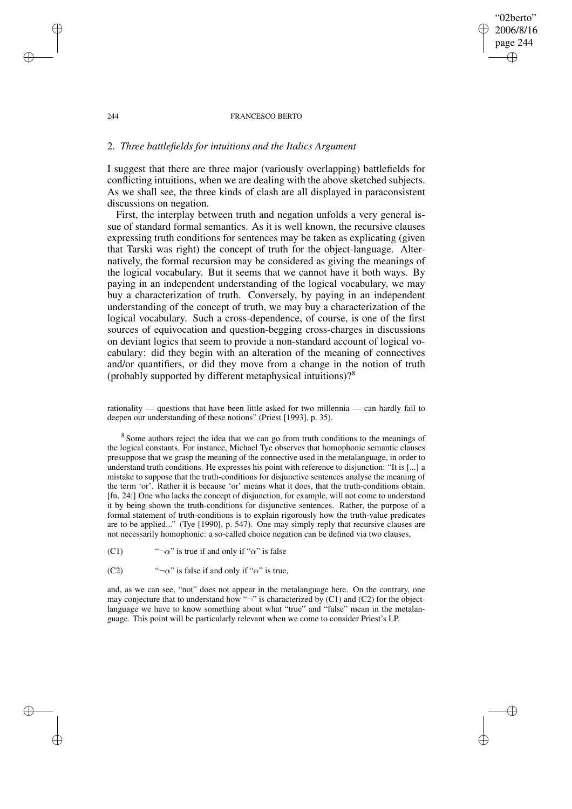# "02berto" 2006/8/16 page 244 ✐ ✐

✐

✐

## 244 FRANCESCO BERTO

# 2. *Three battlefields for intuitions and the Italics Argument*

I suggest that there are three major (variously overlapping) battlefields for conflicting intuitions, when we are dealing with the above sketched subjects. As we shall see, the three kinds of clash are all displayed in paraconsistent discussions on negation.

First, the interplay between truth and negation unfolds a very general issue of standard formal semantics. As it is well known, the recursive clauses expressing truth conditions for sentences may be taken as explicating (given that Tarski was right) the concept of truth for the object-language. Alternatively, the formal recursion may be considered as giving the meanings of the logical vocabulary. But it seems that we cannot have it both ways. By paying in an independent understanding of the logical vocabulary, we may buy a characterization of truth. Conversely, by paying in an independent understanding of the concept of truth, we may buy a characterization of the logical vocabulary. Such a cross-dependence, of course, is one of the first sources of equivocation and question-begging cross-charges in discussions on deviant logics that seem to provide a non-standard account of logical vocabulary: did they begin with an alteration of the meaning of connectives and/or quantifiers, or did they move from a change in the notion of truth (probably supported by different metaphysical intuitions)?<sup>8</sup>

rationality — questions that have been little asked for two millennia — can hardly fail to deepen our understanding of these notions" (Priest [1993], p. 35).

<sup>8</sup> Some authors reject the idea that we can go from truth conditions to the meanings of the logical constants. For instance, Michael Tye observes that homophonic semantic clauses presuppose that we grasp the meaning of the connective used in the metalanguage, in order to understand truth conditions. He expresses his point with reference to disjunction: "It is [...] a mistake to suppose that the truth-conditions for disjunctive sentences analyse the meaning of the term 'or'. Rather it is because 'or' means what it does, that the truth-conditions obtain. [fn. 24:] One who lacks the concept of disjunction, for example, will not come to understand it by being shown the truth-conditions for disjunctive sentences. Rather, the purpose of a formal statement of truth-conditions is to explain rigorously how the truth-value predicates are to be applied..." (Tye [1990], p. 547). One may simply reply that recursive clauses are not necessarily homophonic: a so-called choice negation can be defined via two clauses,

(C1) " $\neg \alpha$ " is true if and only if " $\alpha$ " is false

(C2) " $\neg \alpha$ " is false if and only if " $\alpha$ " is true,

and, as we can see, "not" does not appear in the metalanguage here. On the contrary, one may conjecture that to understand how " $\neg$ " is characterized by (C1) and (C2) for the objectlanguage we have to know something about what "true" and "false" mean in the metalanguage. This point will be particularly relevant when we come to consider Priest's LP.

✐

✐

✐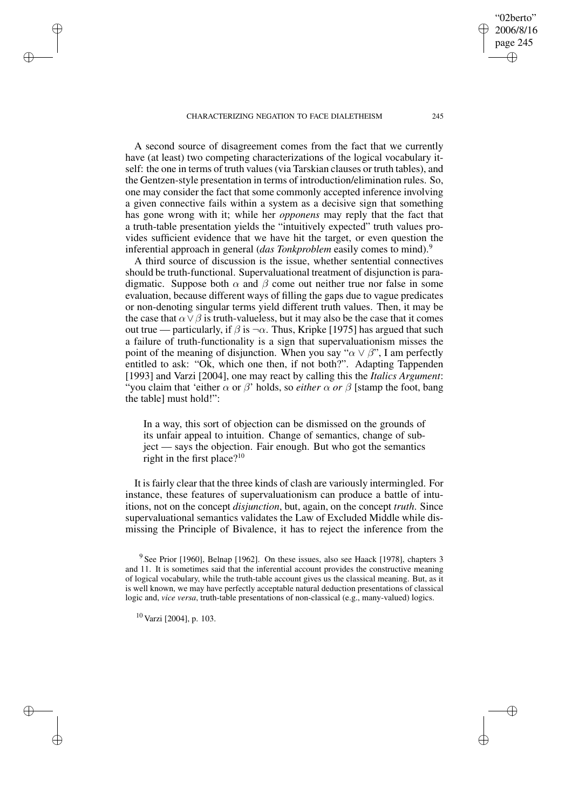A second source of disagreement comes from the fact that we currently have (at least) two competing characterizations of the logical vocabulary itself: the one in terms of truth values(via Tarskian clauses or truth tables), and the Gentzen-style presentation in terms of introduction/elimination rules. So, one may consider the fact that some commonly accepted inference involving a given connective fails within a system as a decisive sign that something has gone wrong with it; while her *opponens* may reply that the fact that a truth-table presentation yields the "intuitively expected" truth values provides sufficient evidence that we have hit the target, or even question the inferential approach in general (*das Tonkproblem* easily comes to mind).<sup>9</sup>

A third source of discussion is the issue, whether sentential connectives should be truth-functional. Supervaluational treatment of disjunction is paradigmatic. Suppose both  $\alpha$  and  $\beta$  come out neither true nor false in some evaluation, because different ways of filling the gaps due to vague predicates or non-denoting singular terms yield different truth values. Then, it may be the case that  $\alpha \vee \beta$  is truth-valueless, but it may also be the case that it comes out true — particularly, if  $\beta$  is  $\neg \alpha$ . Thus, Kripke [1975] has argued that such a failure of truth-functionality is a sign that supervaluationism misses the point of the meaning of disjunction. When you say " $\alpha \vee \beta$ ", I am perfectly entitled to ask: "Ok, which one then, if not both?". Adapting Tappenden [1993] and Varzi [2004], one may react by calling this the *Italics Argument*: "you claim that 'either  $\alpha$  or  $\beta$ ' holds, so *either*  $\alpha$  *or*  $\beta$  [stamp the foot, bang the table] must hold!":

In a way, this sort of objection can be dismissed on the grounds of its unfair appeal to intuition. Change of semantics, change of subject — says the objection. Fair enough. But who got the semantics right in the first place? $10$ 

It is fairly clear that the three kinds of clash are variously intermingled. For instance, these features of supervaluationism can produce a battle of intuitions, not on the concept *disjunction*, but, again, on the concept *truth*. Since supervaluational semantics validates the Law of Excluded Middle while dismissing the Principle of Bivalence, it has to reject the inference from the

<sup>10</sup> Varzi [2004], p. 103.

✐

✐

✐

✐

"02berto" 2006/8/16 page 245

✐

✐

✐

<sup>&</sup>lt;sup>9</sup> See Prior [1960], Belnap [1962]. On these issues, also see Haack [1978], chapters 3 and 11. It is sometimes said that the inferential account provides the constructive meaning of logical vocabulary, while the truth-table account gives us the classical meaning. But, as it is well known, we may have perfectly acceptable natural deduction presentations of classical logic and, *vice versa*, truth-table presentations of non-classical (e.g., many-valued) logics.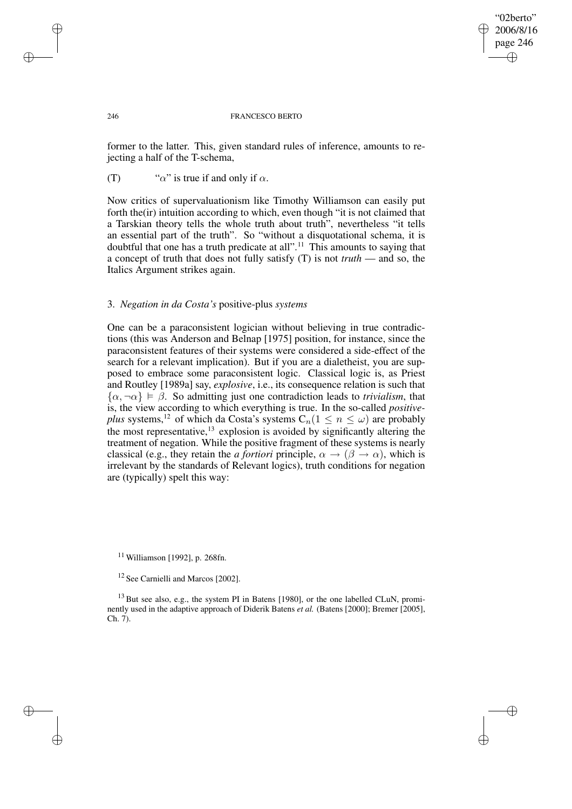## "02berto" 2006/8/16 page 246 ✐ ✐

✐

✐

#### 246 FRANCESCO BERTO

former to the latter. This, given standard rules of inference, amounts to rejecting a half of the T-schema,

# (T) " $\alpha$ " is true if and only if  $\alpha$ .

Now critics of supervaluationism like Timothy Williamson can easily put forth the(ir) intuition according to which, even though "it is not claimed that a Tarskian theory tells the whole truth about truth", nevertheless "it tells an essential part of the truth". So "without a disquotational schema, it is doubtful that one has a truth predicate at all".<sup>11</sup> This amounts to saying that a concept of truth that does not fully satisfy (T) is not *truth* — and so, the Italics Argument strikes again.

## 3. *Negation in da Costa's* positive-plus *systems*

One can be a paraconsistent logician without believing in true contradictions (this was Anderson and Belnap [1975] position, for instance, since the paraconsistent features of their systems were considered a side-effect of the search for a relevant implication). But if you are a dialetheist, you are supposed to embrace some paraconsistent logic. Classical logic is, as Priest and Routley [1989a] say, *explosive*, i.e., its consequence relation is such that  $\{\alpha, \neg \alpha\} \models \beta$ . So admitting just one contradiction leads to *trivialism*, that is, the view according to which everything is true. In the so-called *positiveplus* systems,<sup>12</sup> of which da Costa's systems  $C_n(1 \leq n \leq \omega)$  are probably the most representative,<sup>13</sup> explosion is avoided by significantly altering the treatment of negation. While the positive fragment of these systems is nearly classical (e.g., they retain the *a fortiori* principle,  $\alpha \rightarrow (\beta \rightarrow \alpha)$ , which is irrelevant by the standards of Relevant logics), truth conditions for negation are (typically) spelt this way:

 $11$  Williamson [1992], p. 268fn.

<sup>13</sup> But see also, e.g., the system PI in Batens [1980], or the one labelled CLuN, prominently used in the adaptive approach of Diderik Batens *et al.* (Batens [2000]; Bremer [2005], Ch. 7).

✐

✐

✐

<sup>&</sup>lt;sup>12</sup> See Carnielli and Marcos [2002].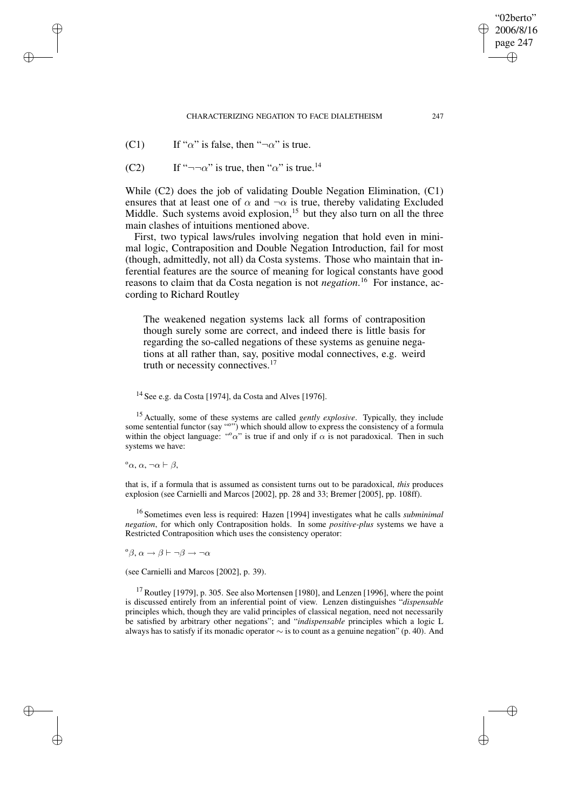(C1) If " $\alpha$ " is false, then " $\neg \alpha$ " is true.

(C2) If " $\neg\neg\alpha$ " is true, then " $\alpha$ " is true.<sup>14</sup>

While (C2) does the job of validating Double Negation Elimination, (C1) ensures that at least one of  $\alpha$  and  $\neg \alpha$  is true, thereby validating Excluded Middle. Such systems avoid explosion,<sup>15</sup> but they also turn on all the three main clashes of intuitions mentioned above.

First, two typical laws/rules involving negation that hold even in minimal logic, Contraposition and Double Negation Introduction, fail for most (though, admittedly, not all) da Costa systems. Those who maintain that inferential features are the source of meaning for logical constants have good reasons to claim that da Costa negation is not *negation*. <sup>16</sup> For instance, according to Richard Routley

The weakened negation systems lack all forms of contraposition though surely some are correct, and indeed there is little basis for regarding the so-called negations of these systems as genuine negations at all rather than, say, positive modal connectives, e.g. weird truth or necessity connectives.<sup>17</sup>

# $14$  See e.g. da Costa [1974], da Costa and Alves [1976].

<sup>15</sup> Actually, some of these systems are called *gently explosive*. Typically, they include some sentential functor (say "o") which should allow to express the consistency of a formula within the object language: " $\alpha$ " is true if and only if  $\alpha$  is not paradoxical. Then in such systems we have:

 $^{\circ}$ α, α, ¬α  $\vdash$  β,

✐

✐

✐

✐

that is, if a formula that is assumed as consistent turns out to be paradoxical, *this* produces explosion (see Carnielli and Marcos [2002], pp. 28 and 33; Bremer [2005], pp. 108ff).

<sup>16</sup> Sometimes even less is required: Hazen [1994] investigates what he calls *subminimal negation*, for which only Contraposition holds. In some *positive-plus* systems we have a Restricted Contraposition which uses the consistency operator:

 ${}^{\circ} \beta$ ,  $\alpha \rightarrow \beta \vdash \neg \beta \rightarrow \neg \alpha$ 

(see Carnielli and Marcos [2002], p. 39).

 $17$  Routley [1979], p. 305. See also Mortensen [1980], and Lenzen [1996], where the point is discussed entirely from an inferential point of view. Lenzen distinguishes "*dispensable* principles which, though they are valid principles of classical negation, need not necessarily be satisfied by arbitrary other negations"; and "*indispensable* principles which a logic L always has to satisfy if its monadic operator  $\sim$  is to count as a genuine negation" (p. 40). And

"02berto" 2006/8/16 page 247

✐

✐

✐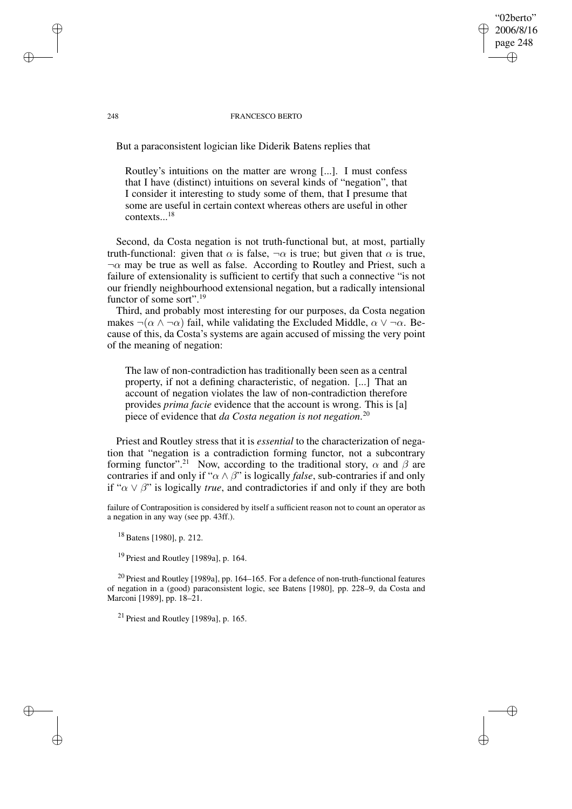## 248 FRANCESCO BERTO

"02berto" 2006/8/16 page 248

✐

✐

✐

✐

But a paraconsistent logician like Diderik Batens replies that

Routley's intuitions on the matter are wrong [...]. I must confess that I have (distinct) intuitions on several kinds of "negation", that I consider it interesting to study some of them, that I presume that some are useful in certain context whereas others are useful in other contexts...<sup>18</sup>

Second, da Costa negation is not truth-functional but, at most, partially truth-functional: given that  $\alpha$  is false,  $\neg \alpha$  is true; but given that  $\alpha$  is true,  $\neg \alpha$  may be true as well as false. According to Routley and Priest, such a failure of extensionality is sufficient to certify that such a connective "is not our friendly neighbourhood extensional negation, but a radically intensional functor of some sort".<sup>19</sup>

Third, and probably most interesting for our purposes, da Costa negation makes  $\neg(\alpha \land \neg \alpha)$  fail, while validating the Excluded Middle,  $\alpha \lor \neg \alpha$ . Because of this, da Costa's systems are again accused of missing the very point of the meaning of negation:

The law of non-contradiction has traditionally been seen as a central property, if not a defining characteristic, of negation. [...] That an account of negation violates the law of non-contradiction therefore provides *prima facie* evidence that the account is wrong. This is [a] piece of evidence that *da Costa negation is not negation*. 20

Priest and Routley stress that it is *essential* to the characterization of negation that "negation is a contradiction forming functor, not a subcontrary forming functor".<sup>21</sup> Now, according to the traditional story,  $\alpha$  and  $\beta$  are contraries if and only if " $\alpha \wedge \beta$ " is logically *false*, sub-contraries if and only if " $\alpha \vee \beta$ " is logically *true*, and contradictories if and only if they are both

failure of Contraposition is considered by itself a sufficient reason not to count an operator as a negation in any way (see pp. 43ff.).

<sup>18</sup> Batens [1980], p. 212.

<sup>19</sup> Priest and Routley [1989a], p. 164.

<sup>20</sup> Priest and Routley [1989a], pp. 164–165. For a defence of non-truth-functional features of negation in a (good) paraconsistent logic, see Batens [1980], pp. 228–9, da Costa and Marconi [1989], pp. 18–21.

 $21$  Priest and Routley [1989a], p. 165.

✐

✐

✐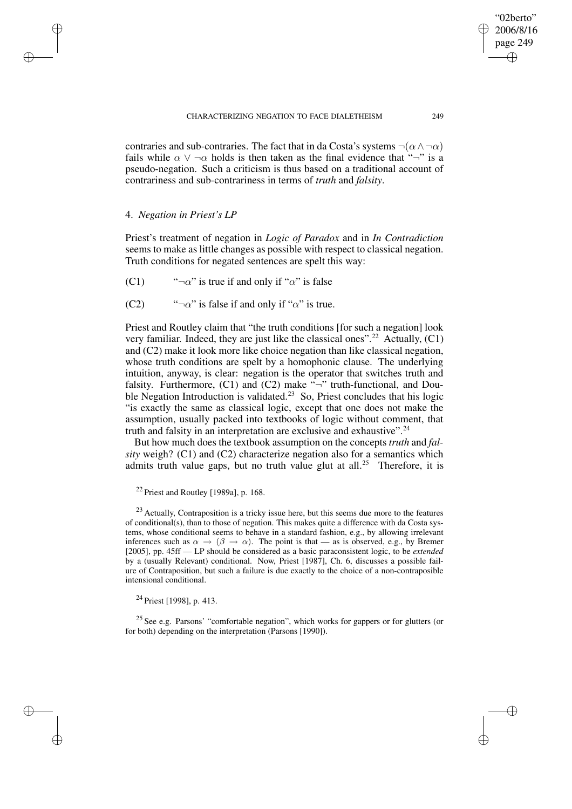contraries and sub-contraries. The fact that in da Costa's systems  $\neg(\alpha \land \neg \alpha)$ fails while  $\alpha \vee \neg \alpha$  holds is then taken as the final evidence that " $\neg$ " is a pseudo-negation. Such a criticism is thus based on a traditional account of contrariness and sub-contrariness in terms of *truth* and *falsity*.

# 4. *Negation in Priest's LP*

✐

✐

✐

✐

Priest's treatment of negation in *Logic of Paradox* and in *In Contradiction* seems to make as little changes as possible with respect to classical negation. Truth conditions for negated sentences are spelt this way:

(C1) " $\neg \alpha$ " is true if and only if " $\alpha$ " is false

(C2) " $\neg \alpha$ " is false if and only if " $\alpha$ " is true.

Priest and Routley claim that "the truth conditions [for such a negation] look very familiar. Indeed, they are just like the classical ones".<sup>22</sup> Actually,  $(C1)$ and (C2) make it look more like choice negation than like classical negation, whose truth conditions are spelt by a homophonic clause. The underlying intuition, anyway, is clear: negation is the operator that switches truth and falsity. Furthermore,  $(C1)$  and  $(C2)$  make  $\sqrt[n]{\ }$  truth-functional, and Double Negation Introduction is validated.<sup>23</sup> So, Priest concludes that his logic "is exactly the same as classical logic, except that one does not make the assumption, usually packed into textbooks of logic without comment, that truth and falsity in an interpretation are exclusive and exhaustive".  $24$ 

But how much does the textbook assumption on the concepts *truth* and *falsity* weigh? (C1) and (C2) characterize negation also for a semantics which admits truth value gaps, but no truth value glut at all.<sup>25</sup> Therefore, it is

 $24$  Priest [1998], p. 413.

<sup>25</sup> See e.g. Parsons' "comfortable negation", which works for gappers or for glutters (or for both) depending on the interpretation (Parsons [1990]).

"02berto" 2006/8/16 page 249

✐

✐

✐

 $22$  Priest and Routley [1989a], p. 168.

<sup>&</sup>lt;sup>23</sup> Actually, Contraposition is a tricky issue here, but this seems due more to the features of conditional(s), than to those of negation. This makes quite a difference with da Costa systems, whose conditional seems to behave in a standard fashion, e.g., by allowing irrelevant inferences such as  $\alpha \to (\beta \to \alpha)$ . The point is that — as is observed, e.g., by Bremer [2005], pp. 45ff — LP should be considered as a basic paraconsistent logic, to be *extended* by a (usually Relevant) conditional. Now, Priest [1987], Ch. 6, discusses a possible failure of Contraposition, but such a failure is due exactly to the choice of a non-contraposible intensional conditional.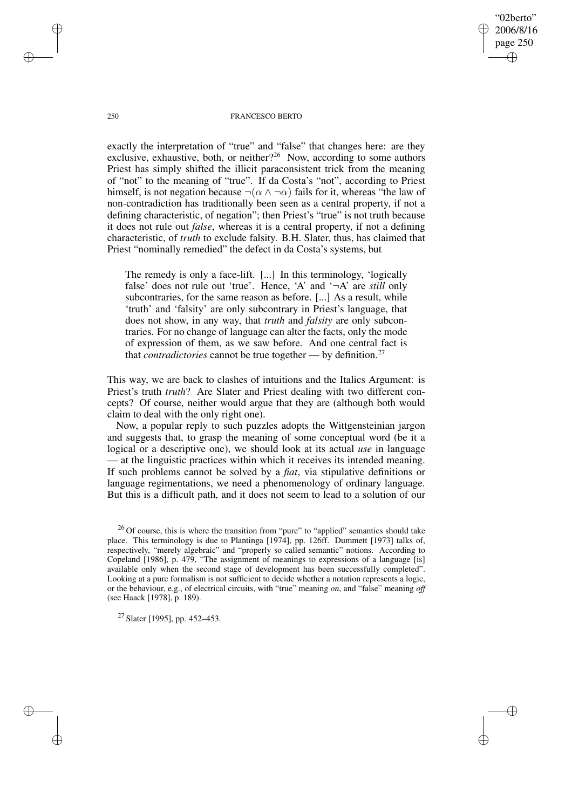"02berto" 2006/8/16 page 250 ✐ ✐

✐

✐

## 250 FRANCESCO BERTO

exactly the interpretation of "true" and "false" that changes here: are they exclusive, exhaustive, both, or neither?<sup>26</sup> Now, according to some authors Priest has simply shifted the illicit paraconsistent trick from the meaning of "not" to the meaning of "true". If da Costa's "not", according to Priest himself, is not negation because  $\neg(\alpha \land \neg \alpha)$  fails for it, whereas "the law of non-contradiction has traditionally been seen as a central property, if not a defining characteristic, of negation"; then Priest's "true" is not truth because it does not rule out *false*, whereas it is a central property, if not a defining characteristic, of *truth* to exclude falsity. B.H. Slater, thus, has claimed that Priest "nominally remedied" the defect in da Costa's systems, but

The remedy is only a face-lift. [...] In this terminology, 'logically false' does not rule out 'true'. Hence, 'A' and '¬A' are *still* only subcontraries, for the same reason as before. [...] As a result, while 'truth' and 'falsity' are only subcontrary in Priest's language, that does not show, in any way, that *truth* and *falsity* are only subcontraries. For no change of language can alter the facts, only the mode of expression of them, as we saw before. And one central fact is that *contradictories* cannot be true together — by definition.<sup>27</sup>

This way, we are back to clashes of intuitions and the Italics Argument: is Priest's truth *truth*? Are Slater and Priest dealing with two different concepts? Of course, neither would argue that they are (although both would claim to deal with the only right one).

Now, a popular reply to such puzzles adopts the Wittgensteinian jargon and suggests that, to grasp the meaning of some conceptual word (be it a logical or a descriptive one), we should look at its actual *use* in language — at the linguistic practices within which it receives its intended meaning. If such problems cannot be solved by a *fiat*, via stipulative definitions or language regimentations, we need a phenomenology of ordinary language. But this is a difficult path, and it does not seem to lead to a solution of our

 $26$  Of course, this is where the transition from "pure" to "applied" semantics should take place. This terminology is due to Plantinga [1974], pp. 126ff. Dummett [1973] talks of, respectively, "merely algebraic" and "properly so called semantic" notions. According to Copeland [1986], p. 479, "The assignment of meanings to expressions of a language [is] available only when the second stage of development has been successfully completed". Looking at a pure formalism is not sufficient to decide whether a notation represents a logic, or the behaviour, e.g., of electrical circuits, with "true" meaning *on*, and "false" meaning *off* (see Haack [1978], p. 189).

<sup>27</sup> Slater [1995], pp. 452–453.

✐

✐

✐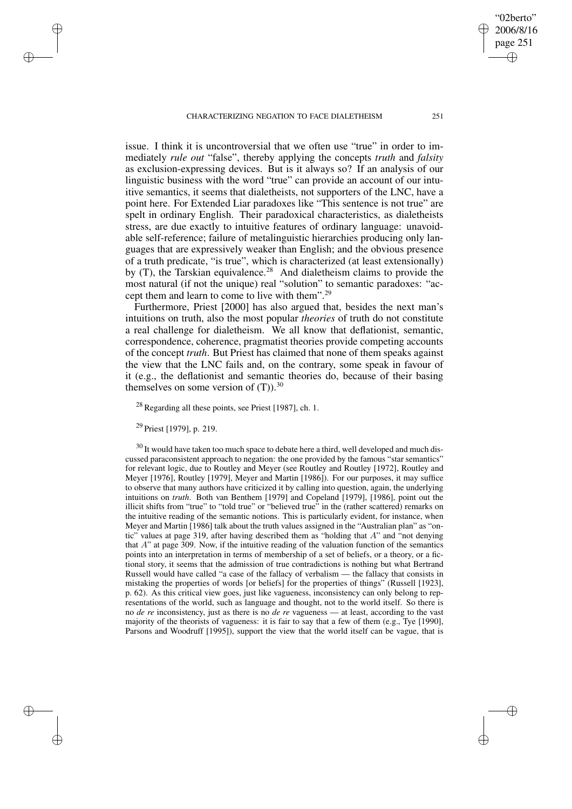issue. I think it is uncontroversial that we often use "true" in order to immediately *rule out* "false", thereby applying the concepts *truth* and *falsity* as exclusion-expressing devices. But is it always so? If an analysis of our linguistic business with the word "true" can provide an account of our intuitive semantics, it seems that dialetheists, not supporters of the LNC, have a point here. For Extended Liar paradoxes like "This sentence is not true" are spelt in ordinary English. Their paradoxical characteristics, as dialetheists stress, are due exactly to intuitive features of ordinary language: unavoidable self-reference; failure of metalinguistic hierarchies producing only languages that are expressively weaker than English; and the obvious presence of a truth predicate, "is true", which is characterized (at least extensionally) by  $(T)$ , the Tarskian equivalence.<sup>28</sup> And dialetheism claims to provide the most natural (if not the unique) real "solution" to semantic paradoxes: "accept them and learn to come to live with them".<sup>29</sup>

Furthermore, Priest [2000] has also argued that, besides the next man's intuitions on truth, also the most popular *theories* of truth do not constitute a real challenge for dialetheism. We all know that deflationist, semantic, correspondence, coherence, pragmatist theories provide competing accounts of the concept *truth*. But Priest has claimed that none of them speaks against the view that the LNC fails and, on the contrary, some speak in favour of it (e.g., the deflationist and semantic theories do, because of their basing themselves on some version of  $(T)$ ).<sup>30</sup>

 $^{28}$  Regarding all these points, see Priest [1987], ch. 1.

<sup>29</sup> Priest [1979], p. 219.

✐

✐

✐

✐

<sup>30</sup> It would have taken too much space to debate here a third, well developed and much discussed paraconsistent approach to negation: the one provided by the famous "star semantics" for relevant logic, due to Routley and Meyer (see Routley and Routley [1972], Routley and Meyer [1976], Routley [1979], Meyer and Martin [1986]). For our purposes, it may suffice to observe that many authors have criticized it by calling into question, again, the underlying intuitions on *truth*. Both van Benthem [1979] and Copeland [1979], [1986], point out the illicit shifts from "true" to "told true" or "believed true" in the (rather scattered) remarks on the intuitive reading of the semantic notions. This is particularly evident, for instance, when Meyer and Martin [1986] talk about the truth values assigned in the "Australian plan" as "ontic" values at page 319, after having described them as "holding that  $A$ " and "not denying that A" at page 309. Now, if the intuitive reading of the valuation function of the semantics points into an interpretation in terms of membership of a set of beliefs, or a theory, or a fictional story, it seems that the admission of true contradictions is nothing but what Bertrand Russell would have called "a case of the fallacy of verbalism — the fallacy that consists in mistaking the properties of words [or beliefs] for the properties of things" (Russell [1923], p. 62). As this critical view goes, just like vagueness, inconsistency can only belong to representations of the world, such as language and thought, not to the world itself. So there is no *de re* inconsistency, just as there is no *de re* vagueness — at least, according to the vast majority of the theorists of vagueness: it is fair to say that a few of them (e.g., Tye [1990], Parsons and Woodruff [1995]), support the view that the world itself can be vague, that is

"02berto" 2006/8/16 page 251

✐

✐

✐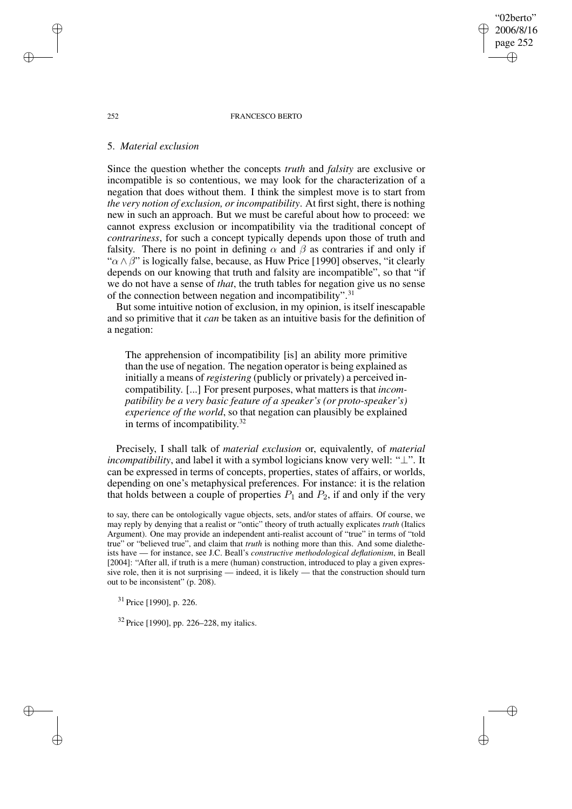#### 252 FRANCESCO BERTO

"02berto" 2006/8/16 page 252

✐

✐

✐

✐

# 5. *Material exclusion*

Since the question whether the concepts *truth* and *falsity* are exclusive or incompatible is so contentious, we may look for the characterization of a negation that does without them. I think the simplest move is to start from *the* very notion of exclusion, or incompatibility. At first sight, there is nothing new in such an approach. But we must be careful about how to proceed: we cannot express exclusion or incompatibility via the traditional concept of *contrariness*, for such a concept typically depends upon those of truth and falsity. There is no point in defining  $\alpha$  and  $\beta$  as contraries if and only if " $\alpha \wedge \beta$ " is logically false, because, as Huw Price [1990] observes, "it clearly depends on our knowing that truth and falsity are incompatible", so that "if we do not have a sense of *that*, the truth tables for negation give us no sense of the connection between negation and incompatibility".<sup>31</sup>

But some intuitive notion of exclusion, in my opinion, is itself inescapable and so primitive that it *can* be taken as an intuitive basis for the definition of a negation:

The apprehension of incompatibility [is] an ability more primitive than the use of negation. The negation operator is being explained as initially a means of *registering* (publicly or privately) a perceived incompatibility. [...] For present purposes, what matters is that *incompatibility be a very basic feature of a speaker's (or proto-speaker's) experience of the world*, so that negation can plausibly be explained in terms of incompatibility.<sup>32</sup>

Precisely, I shall talk of *material exclusion* or, equivalently, of *material incompatibility*, and label it with a symbol logicians know very well: "⊥". It can be expressed in terms of concepts, properties, states of affairs, or worlds, depending on one's metaphysical preferences. For instance: it is the relation that holds between a couple of properties  $P_1$  and  $P_2$ , if and only if the very

to say, there can be ontologically vague objects, sets, and/or states of affairs. Of course, we may reply by denying that a realist or "ontic" theory of truth actually explicates *truth* (Italics Argument). One may provide an independent anti-realist account of "true" in terms of "told true" or "believed true", and claim that *truth* is nothing more than this. And some dialetheists have — for instance, see J.C. Beall's *constructive methodological deflationism*, in Beall [2004]: "After all, if truth is a mere (human) construction, introduced to play a given expressive role, then it is not surprising — indeed, it is likely — that the construction should turn out to be inconsistent" (p. 208).

<sup>31</sup> Price [1990], p. 226.

<sup>32</sup> Price [1990], pp. 226–228, my italics.

✐

✐

✐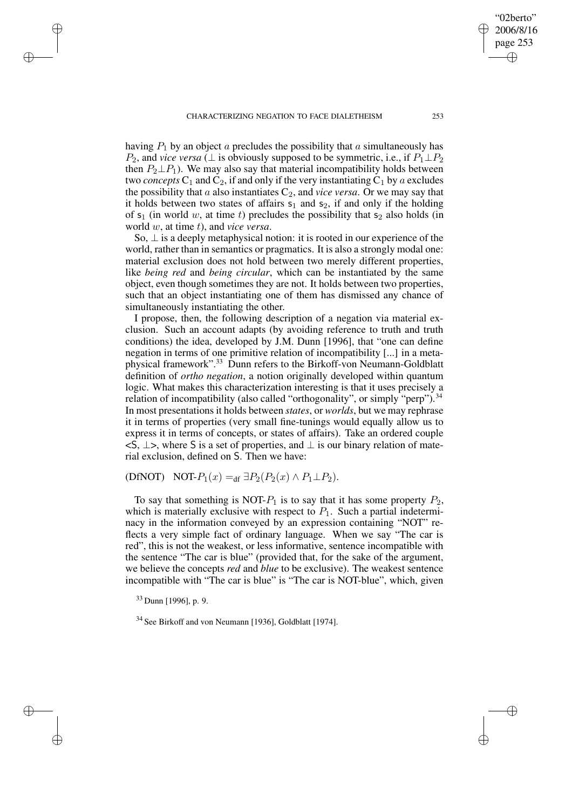having  $P_1$  by an object a precludes the possibility that a simultaneously has  $P_2$ , and *vice versa* ( $\perp$  is obviously supposed to be symmetric, i.e., if  $P_1 \perp P_2$ then  $P_2 \perp P_1$ ). We may also say that material incompatibility holds between two *concepts*  $C_1$  and  $C_2$ , if and only if the very instantiating  $C_1$  by a excludes the possibility that a also instantiates  $C_2$ , and *vice versa*. Or we may say that it holds between two states of affairs  $s_1$  and  $s_2$ , if and only if the holding of  $s_1$  (in world w, at time t) precludes the possibility that  $s_2$  also holds (in world w, at time t), and *vice versa*.

So,  $\perp$  is a deeply metaphysical notion: it is rooted in our experience of the world, rather than in semantics or pragmatics. It is also a strongly modal one: material exclusion does not hold between two merely different properties, like *being red* and *being circular*, which can be instantiated by the same object, even though sometimes they are not. It holds between two properties, such that an object instantiating one of them has dismissed any chance of simultaneously instantiating the other.

I propose, then, the following description of a negation via material exclusion. Such an account adapts (by avoiding reference to truth and truth conditions) the idea, developed by J.M. Dunn [1996], that "one can define negation in terms of one primitive relation of incompatibility [...] in a metaphysical framework".<sup>33</sup> Dunn refers to the Birkoff-von Neumann-Goldblatt definition of *ortho negation*, a notion originally developed within quantum logic. What makes this characterization interesting is that it uses precisely a relation of incompatibility (also called "orthogonality", or simply "perp").<sup>34</sup> In most presentations it holds between *states*, or *worlds*, but we may rephrase it in terms of properties (very small fine-tunings would equally allow us to express it in terms of concepts, or states of affairs). Take an ordered couple  $\leq$ S,  $\perp$ >, where S is a set of properties, and  $\perp$  is our binary relation of material exclusion, defined on S. Then we have:

(DfNOT) NOT- $P_1(x) =$ df  $\exists P_2(P_2(x) \land P_1 \perp P_2)$ .

To say that something is NOT- $P_1$  is to say that it has some property  $P_2$ , which is materially exclusive with respect to  $P_1$ . Such a partial indeterminacy in the information conveyed by an expression containing "NOT" reflects a very simple fact of ordinary language. When we say "The car is red", this is not the weakest, or less informative, sentence incompatible with the sentence "The car is blue" (provided that, for the sake of the argument, we believe the concepts *red* and *blue* to be exclusive). The weakest sentence incompatible with "The car is blue" is "The car is NOT-blue", which, given

<sup>33</sup> Dunn [1996], p. 9.

✐

✐

✐

✐

<sup>34</sup> See Birkoff and von Neumann [1936], Goldblatt [1974].

"02berto" 2006/8/16 page 253

✐

✐

✐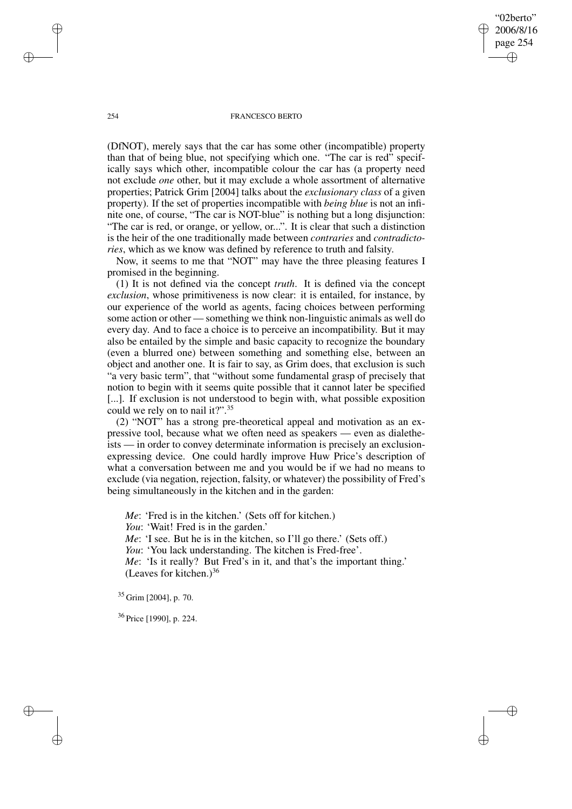"02berto" 2006/8/16 page 254 ✐ ✐

✐

✐

## 254 FRANCESCO BERTO

(DfNOT), merely says that the car has some other (incompatible) property than that of being blue, not specifying which one. "The car is red" specifically says which other, incompatible colour the car has (a property need not exclude *one* other, but it may exclude a whole assortment of alternative properties; Patrick Grim [2004] talks about the *exclusionary class* of a given property). If the set of properties incompatible with *being blue* is not an infinite one, of course, "The car is NOT-blue" is nothing but a long disjunction: "The car is red, or orange, or yellow, or...". It is clear that such a distinction is the heir of the one traditionally made between *contraries* and *contradictories*, which as we know was defined by reference to truth and falsity.

Now, it seems to me that "NOT" may have the three pleasing features I promised in the beginning.

(1) It is not defined via the concept *truth*. It is defined via the concept *exclusion*, whose primitiveness is now clear: it is entailed, for instance, by our experience of the world as agents, facing choices between performing some action or other — something we think non-linguistic animals as well do every day. And to face a choice is to perceive an incompatibility. But it may also be entailed by the simple and basic capacity to recognize the boundary (even a blurred one) between something and something else, between an object and another one. It is fair to say, as Grim does, that exclusion is such "a very basic term", that "without some fundamental grasp of precisely that notion to begin with it seems quite possible that it cannot later be specified [...]. If exclusion is not understood to begin with, what possible exposition could we rely on to nail it?".<sup>35</sup>

(2) "NOT" has a strong pre-theoretical appeal and motivation as an expressive tool, because what we often need as speakers — even as dialetheists — in order to convey determinate information is precisely an exclusionexpressing device. One could hardly improve Huw Price's description of what a conversation between me and you would be if we had no means to exclude (via negation, rejection, falsity, or whatever) the possibility of Fred's being simultaneously in the kitchen and in the garden:

*Me*: 'Fred is in the kitchen.' (Sets off for kitchen.) *You*: 'Wait! Fred is in the garden.' *Me*: 'I see. But he is in the kitchen, so I'll go there.' (Sets off.) *You*: 'You lack understanding. The kitchen is Fred-free'. *Me*: 'Is it really? But Fred's in it, and that's the important thing.' (Leaves for kitchen.) $36$ 

<sup>35</sup> Grim [2004], p. 70.

<sup>36</sup> Price [1990], p. 224.

✐

✐

✐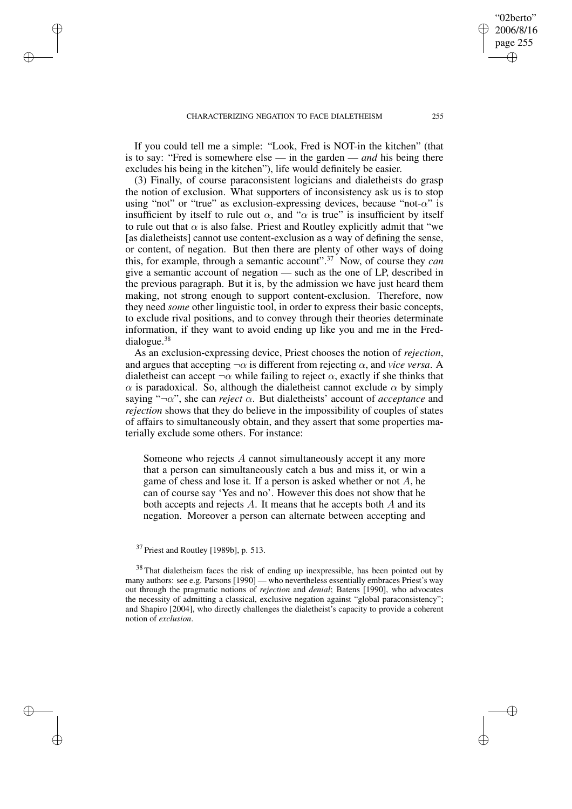✐

✐

✐

✐

If you could tell me a simple: "Look, Fred is NOT-in the kitchen" (that is to say: "Fred is somewhere else — in the garden — *and* his being there excludes his being in the kitchen"), life would definitely be easier.

(3) Finally, of course paraconsistent logicians and dialetheists do grasp the notion of exclusion. What supporters of inconsistency ask us is to stop using "not" or "true" as exclusion-expressing devices, because "not- $\alpha$ " is insufficient by itself to rule out  $\alpha$ , and " $\alpha$  is true" is insufficient by itself to rule out that  $\alpha$  is also false. Priest and Routley explicitly admit that "we [as dialetheists] cannot use content-exclusion as a way of defining the sense, or content, of negation. But then there are plenty of other ways of doing this, for example, through a semantic account".<sup>37</sup> Now, of course they *can* give a semantic account of negation — such as the one of LP, described in the previous paragraph. But it is, by the admission we have just heard them making, not strong enough to support content-exclusion. Therefore, now they need *some* other linguistic tool, in order to express their basic concepts, to exclude rival positions, and to convey through their theories determinate information, if they want to avoid ending up like you and me in the Freddialogue.<sup>38</sup>

As an exclusion-expressing device, Priest chooses the notion of *rejection*, and argues that accepting  $\neg \alpha$  is different from rejecting  $\alpha$ , and *vice versa*. A dialetheist can accept  $\neg \alpha$  while failing to reject  $\alpha$ , exactly if she thinks that  $\alpha$  is paradoxical. So, although the dialetheist cannot exclude  $\alpha$  by simply saying " $\neg \alpha$ ", she can *reject*  $\alpha$ . But dialetheists' account of *acceptance* and *rejection* shows that they do believe in the impossibility of couples of states of affairs to simultaneously obtain, and they assert that some properties materially exclude some others. For instance:

Someone who rejects A cannot simultaneously accept it any more that a person can simultaneously catch a bus and miss it, or win a game of chess and lose it. If a person is asked whether or not  $A$ , he can of course say 'Yes and no'. However this does not show that he both accepts and rejects A. It means that he accepts both A and its negation. Moreover a person can alternate between accepting and

<sup>38</sup> That dialetheism faces the risk of ending up inexpressible, has been pointed out by many authors: see e.g. Parsons [1990] — who nevertheless essentially embraces Priest's way out through the pragmatic notions of *rejection* and *denial*; Batens [1990], who advocates the necessity of admitting a classical, exclusive negation against "global paraconsistency"; and Shapiro [2004], who directly challenges the dialetheist's capacity to provide a coherent notion of *exclusion*.

"02berto" 2006/8/16 page 255

✐

✐

✐

<sup>37</sup> Priest and Routley [1989b], p. 513.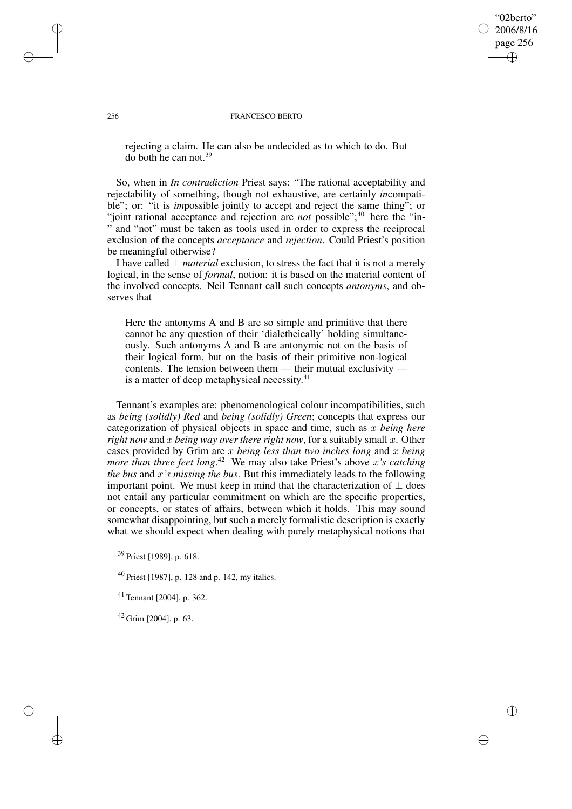"02berto" 2006/8/16 page 256 ✐ ✐

✐

✐

#### 256 FRANCESCO BERTO

rejecting a claim. He can also be undecided as to which to do. But do both he can not.<sup>39</sup>

So, when in *In contradiction* Priest says: "The rational acceptability and rejectability of something, though not exhaustive, are certainly *in*compatible"; or: "it is *impossible* jointly to accept and reject the same thing<sup>5</sup>; or "joint rational acceptance and rejection are *not* possible";<sup>40</sup> here the "in-" and "not" must be taken as tools used in order to express the reciprocal exclusion of the concepts *acceptance* and *rejection*. Could Priest's position be meaningful otherwise?

I have called ⊥ *material* exclusion, to stress the fact that it is not a merely logical, in the sense of *formal*, notion: it is based on the material content of the involved concepts. Neil Tennant call such concepts *antonyms*, and observes that

Here the antonyms A and B are so simple and primitive that there cannot be any question of their 'dialetheically' holding simultaneously. Such antonyms A and B are antonymic not on the basis of their logical form, but on the basis of their primitive non-logical contents. The tension between them — their mutual exclusivity is a matter of deep metaphysical necessity.<sup>41</sup>

Tennant's examples are: phenomenological colour incompatibilities, such as *being (solidly) Red* and *being (solidly) Green*; concepts that express our categorization of physical objects in space and time, such as x *being here right now* and x *being way over there right now*, for a suitably small x. Other cases provided by Grim are x *being less than two inches long* and x *being more than three feet long*. <sup>42</sup> We may also take Priest's above x*'s catching the bus* and x*'s missing the bus*. But this immediately leads to the following important point. We must keep in mind that the characterization of  $\perp$  does not entail any particular commitment on which are the specific properties, or concepts, or states of affairs, between which it holds. This may sound somewhat disappointing, but such a merely formalistic description is exactly what we should expect when dealing with purely metaphysical notions that

<sup>39</sup> Priest [1989], p. 618.

<sup>40</sup> Priest [1987], p. 128 and p. 142, my italics.

<sup>41</sup> Tennant [2004], p. 362.

 $42$  Grim [2004], p. 63.

✐

✐

✐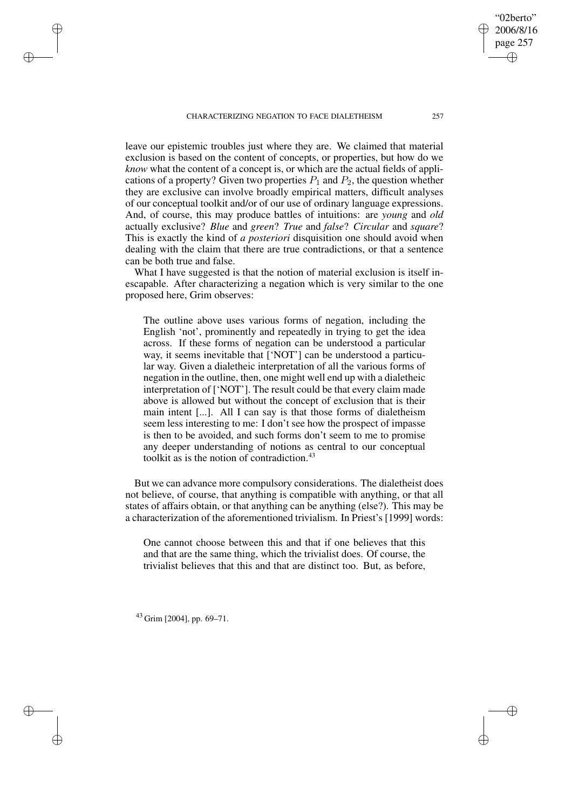leave our epistemic troubles just where they are. We claimed that material exclusion is based on the content of concepts, or properties, but how do we *know* what the content of a concept is, or which are the actual fields of applications of a property? Given two properties  $P_1$  and  $P_2$ , the question whether they are exclusive can involve broadly empirical matters, difficult analyses of our conceptual toolkit and/or of our use of ordinary language expressions. And, of course, this may produce battles of intuitions: are *young* and *old* actually exclusive? *Blue* and *green*? *True* and *false*? *Circular* and *square*? This is exactly the kind of *a posteriori* disquisition one should avoid when dealing with the claim that there are true contradictions, or that a sentence can be both true and false.

What I have suggested is that the notion of material exclusion is itself inescapable. After characterizing a negation which is very similar to the one proposed here, Grim observes:

The outline above uses various forms of negation, including the English 'not', prominently and repeatedly in trying to get the idea across. If these forms of negation can be understood a particular way, it seems inevitable that ['NOT'] can be understood a particular way. Given a dialetheic interpretation of all the various forms of negation in the outline, then, one might well end up with a dialetheic interpretation of ['NOT']. The result could be that every claim made above is allowed but without the concept of exclusion that is their main intent [...]. All I can say is that those forms of dialetheism seem less interesting to me: I don't see how the prospect of impasse is then to be avoided, and such forms don't seem to me to promise any deeper understanding of notions as central to our conceptual toolkit as is the notion of contradiction.<sup>43</sup>

But we can advance more compulsory considerations. The dialetheist does not believe, of course, that anything is compatible with anything, or that all states of affairs obtain, or that anything can be anything (else?). This may be a characterization of the aforementioned trivialism. In Priest's [1999] words:

One cannot choose between this and that if one believes that this and that are the same thing, which the trivialist does. Of course, the trivialist believes that this and that are distinct too. But, as before,

 $43$  Grim [2004], pp. 69–71.

✐

✐

✐

✐

"02berto" 2006/8/16 page 257

✐

✐

✐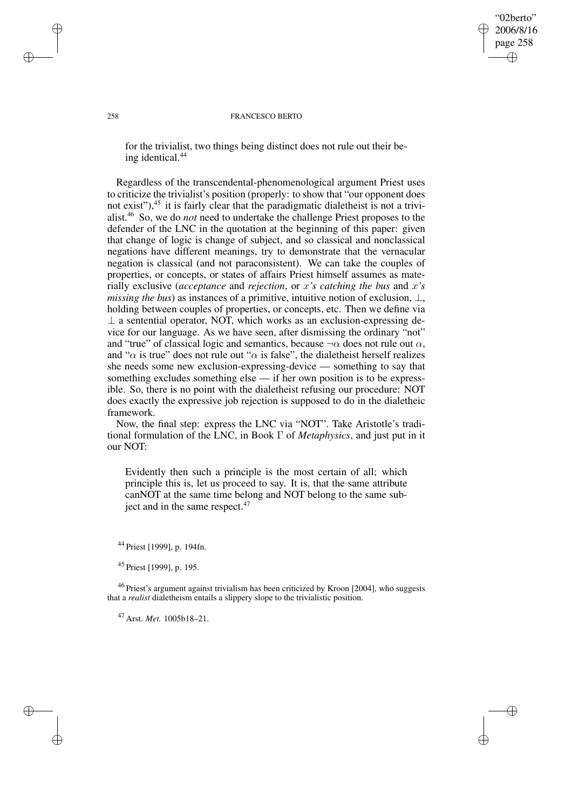"02berto" 2006/8/16 page 258 ✐ ✐

✐

✐

## 258 FRANCESCO BERTO

for the trivialist, two things being distinct does not rule out their being identical.<sup>44</sup>

Regardless of the transcendental-phenomenological argument Priest uses to criticize the trivialist's position (properly: to show that "our opponent does not exist"),<sup>45</sup> it is fairly clear that the paradigmatic dialetheist is not a trivialist.<sup>46</sup> So, we do *not* need to undertake the challenge Priest proposes to the defender of the LNC in the quotation at the beginning of this paper: given that change of logic is change of subject, and so classical and nonclassical negations have different meanings, try to demonstrate that the vernacular negation is classical (and not paraconsistent). We can take the couples of properties, or concepts, or states of affairs Priest himself assumes as materially exclusive (*acceptance* and *rejection*, or x*'s catching the bus* and x*'s missing the bus*) as instances of a primitive, intuitive notion of exclusion,  $\bot$ , holding between couples of properties, or concepts, etc. Then we define via  $\perp$  a sentential operator, NOT, which works as an exclusion-expressing device for our language. As we have seen, after dismissing the ordinary "not" and "true" of classical logic and semantics, because  $\neg \alpha$  does not rule out  $\alpha$ , and " $\alpha$  is true" does not rule out " $\alpha$  is false", the dialetheist herself realizes she needs some new exclusion-expressing-device — something to say that something excludes something else — if her own position is to be expressible. So, there is no point with the dialetheist refusing our procedure: NOT does exactly the expressive job rejection is supposed to do in the dialetheic framework.

Now, the final step: express the LNC via "NOT". Take Aristotle's traditional formulation of the LNC, in Book Γ of *Metaphysics*, and just put in it our NOT:

Evidently then such a principle is the most certain of all; which principle this is, let us proceed to say. It is, that the same attribute canNOT at the same time belong and NOT belong to the same subject and in the same respect.<sup>47</sup>

<sup>44</sup> Priest [1999], p. 194fn.

<sup>45</sup> Priest [1999], p. 195.

<sup>46</sup> Priest's argument against trivialism has been criticized by Kroon [2004], who suggests that a *realist* dialetheism entails a slippery slope to the trivialistic position.

<sup>47</sup> Arst. *Met.* 1005b18–21.

✐

✐

✐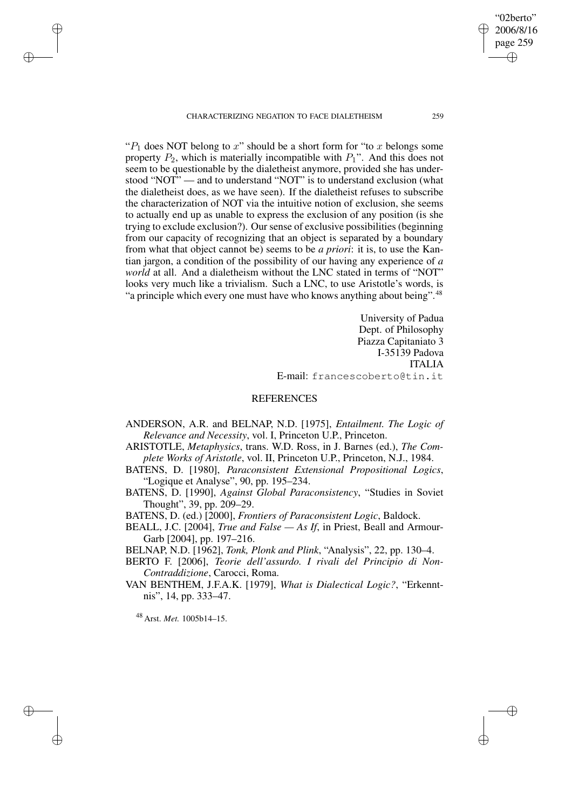" $P_1$  does NOT belong to x" should be a short form for "to x belongs some" property  $P_2$ , which is materially incompatible with  $P_1$ ". And this does not seem to be questionable by the dialetheist anymore, provided she has understood "NOT" — and to understand "NOT" is to understand exclusion (what the dialetheist does, as we have seen). If the dialetheist refuses to subscribe the characterization of NOT via the intuitive notion of exclusion, she seems to actually end up as unable to express the exclusion of any position (is she trying to exclude exclusion?). Our sense of exclusive possibilities (beginning from our capacity of recognizing that an object is separated by a boundary from what that object cannot be) seems to be *a priori*: it is, to use the Kantian jargon, a condition of the possibility of our having any experience of *a world* at all. And a dialetheism without the LNC stated in terms of "NOT" looks very much like a trivialism. Such a LNC, to use Aristotle's words, is "a principle which every one must have who knows anything about being".<sup>48</sup>

> University of Padua Dept. of Philosophy Piazza Capitaniato 3 I-35139 Padova ITALIA E-mail: francescoberto@tin.it

# **REFERENCES**

- ANDERSON, A.R. and BELNAP, N.D. [1975], *Entailment. The Logic of Relevance and Necessity*, vol. I, Princeton U.P., Princeton.
- ARISTOTLE, *Metaphysics*, trans. W.D. Ross, in J. Barnes (ed.), *The Complete Works of Aristotle*, vol. II, Princeton U.P., Princeton, N.J., 1984.
- BATENS, D. [1980], *Paraconsistent Extensional Propositional Logics*, "Logique et Analyse", 90, pp. 195–234.
- BATENS, D. [1990], *Against Global Paraconsistency*, "Studies in Soviet Thought", 39, pp. 209–29.
- BATENS, D. (ed.) [2000], *Frontiers of Paraconsistent Logic*, Baldock.
- BEALL, J.C. [2004], *True and False — As If*, in Priest, Beall and Armour-Garb [2004], pp. 197–216.
- BELNAP, N.D. [1962], *Tonk, Plonk and Plink*, "Analysis", 22, pp. 130–4.
- BERTO F. [2006], *Teorie dell'assurdo. I rivali del Principio di Non-Contraddizione*, Carocci, Roma.
- VAN BENTHEM, J.F.A.K. [1979], *What is Dialectical Logic?*, "Erkenntnis", 14, pp. 333–47.

<sup>48</sup> Arst. *Met.* 1005b14–15.

✐

✐

✐

✐

"02berto" 2006/8/16 page 259

✐

✐

✐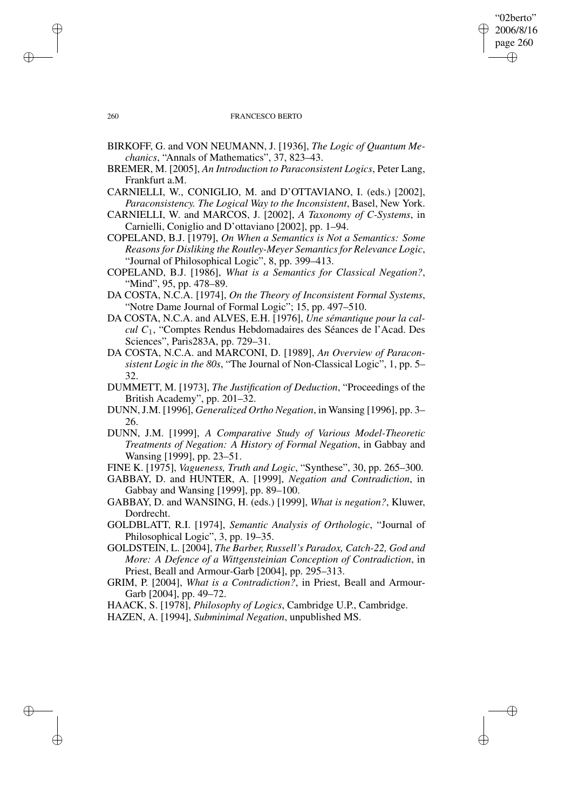## "02berto" 2006/8/16 page 260 ✐ ✐

✐

✐

## 260 FRANCESCO BERTO

- BIRKOFF, G. and VON NEUMANN, J. [1936], *The Logic of Quantum Mechanics*, "Annals of Mathematics", 37, 823–43.
- BREMER, M. [2005], *An Introduction to Paraconsistent Logics*, Peter Lang, Frankfurt a.M.
- CARNIELLI, W., CONIGLIO, M. and D'OTTAVIANO, I. (eds.) [2002], *Paraconsistency. The Logical Way to the Inconsistent*, Basel, New York.
- CARNIELLI, W. and MARCOS, J. [2002], *A Taxonomy of C-Systems*, in Carnielli, Coniglio and D'ottaviano [2002], pp. 1–94.
- COPELAND, B.J. [1979], *On When a Semantics is Not a Semantics: Some Reasonsfor Disliking the Routley-Meyer Semanticsfor Relevance Logic*, "Journal of Philosophical Logic", 8, pp. 399–413.
- COPELAND, B.J. [1986], *What is a Semantics for Classical Negation?*, "Mind", 95, pp. 478–89.
- DA COSTA, N.C.A. [1974], *On the Theory of Inconsistent Formal Systems*, "Notre Dame Journal of Formal Logic"; 15, pp. 497–510.
- DA COSTA, N.C.A. and ALVES, E.H. [1976], *Une sémantique pour la calcul C*1, "Comptes Rendus Hebdomadaires des Séances de l'Acad. Des Sciences", Paris283A, pp. 729–31.
- DA COSTA, N.C.A. and MARCONI, D. [1989], *An Overview of Paraconsistent Logic in the 80s*, "The Journal of Non-Classical Logic", 1, pp. 5– 32.
- DUMMETT, M. [1973], *The Justification of Deduction*, "Proceedings of the British Academy", pp. 201–32.
- DUNN,J.M. [1996], *Generalized Ortho Negation*, in Wansing [1996], pp. 3– 26.
- DUNN, J.M. [1999], *A Comparative Study of Various Model-Theoretic Treatments of Negation: A History of Formal Negation*, in Gabbay and Wansing [1999], pp. 23–51.
- FINE K. [1975], *Vagueness, Truth and Logic*, "Synthese", 30, pp. 265–300.
- GABBAY, D. and HUNTER, A. [1999], *Negation and Contradiction*, in Gabbay and Wansing [1999], pp. 89–100.
- GABBAY, D. and WANSING, H. (eds.) [1999], *What is negation?*, Kluwer, Dordrecht.
- GOLDBLATT, R.I. [1974], *Semantic Analysis of Orthologic*, "Journal of Philosophical Logic", 3, pp. 19–35.
- GOLDSTEIN, L. [2004], *The Barber, Russell's Paradox, Catch-22, God and More: A Defence of a Wittgensteinian Conception of Contradiction*, in Priest, Beall and Armour-Garb [2004], pp. 295–313.
- GRIM, P. [2004], *What is a Contradiction?*, in Priest, Beall and Armour-Garb [2004], pp. 49–72.
- HAACK, S. [1978], *Philosophy of Logics*, Cambridge U.P., Cambridge.
- HAZEN, A. [1994], *Subminimal Negation*, unpublished MS.

✐

✐

✐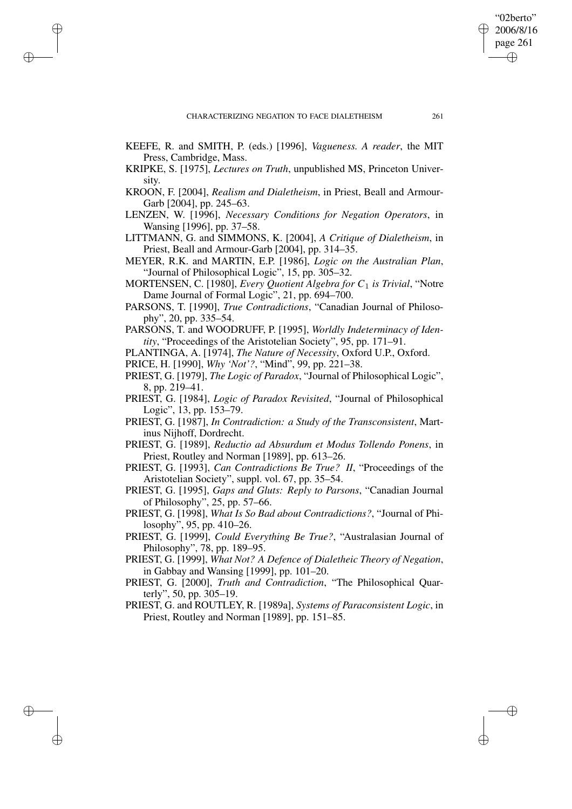✐

✐

✐

✐

- KEEFE, R. and SMITH, P. (eds.) [1996], *Vagueness. A reader*, the MIT Press, Cambridge, Mass.
- KRIPKE, S. [1975], *Lectures on Truth*, unpublished MS, Princeton University.
- KROON, F. [2004], *Realism and Dialetheism*, in Priest, Beall and Armour-Garb [2004], pp. 245–63.
- LENZEN, W. [1996], *Necessary Conditions for Negation Operators*, in Wansing [1996], pp. 37–58.
- LITTMANN, G. and SIMMONS, K. [2004], *A Critique of Dialetheism*, in Priest, Beall and Armour-Garb [2004], pp. 314–35.
- MEYER, R.K. and MARTIN, E.P. [1986], *Logic on the Australian Plan*, "Journal of Philosophical Logic", 15, pp. 305–32.
- MORTENSEN, C. [1980], *Every Quotient Algebra for C*1 *is Trivial*, "Notre Dame Journal of Formal Logic", 21, pp. 694–700.
- PARSONS, T. [1990], *True Contradictions*, "Canadian Journal of Philosophy", 20, pp. 335–54.
- PARSONS, T. and WOODRUFF, P. [1995], *Worldly Indeterminacy of Identity*, "Proceedings of the Aristotelian Society", 95, pp. 171–91.
- PLANTINGA, A. [1974], *The Nature of Necessity*, Oxford U.P., Oxford.
- PRICE, H. [1990], *Why 'Not'?*, "Mind", 99, pp. 221–38.
- PRIEST, G. [1979], *The Logic of Paradox*, "Journal of Philosophical Logic", 8, pp. 219–41.
- PRIEST, G. [1984], *Logic of Paradox Revisited*, "Journal of Philosophical Logic", 13, pp. 153–79.
- PRIEST, G. [1987], *In Contradiction: a Study of the Transconsistent*, Martinus Nijhoff, Dordrecht.
- PRIEST, G. [1989], *Reductio ad Absurdum et Modus Tollendo Ponens*, in Priest, Routley and Norman [1989], pp. 613–26.
- PRIEST, G. [1993], *Can Contradictions Be True? II*, "Proceedings of the Aristotelian Society", suppl. vol. 67, pp. 35–54.
- PRIEST, G. [1995], *Gaps and Gluts: Reply to Parsons*, "Canadian Journal of Philosophy", 25, pp. 57–66.
- PRIEST, G. [1998], *What Is So Bad about Contradictions?*, "Journal of Philosophy", 95, pp. 410–26.
- PRIEST, G. [1999], *Could Everything Be True?*, "Australasian Journal of Philosophy", 78, pp. 189–95.
- PRIEST, G. [1999], *What Not? A Defence of Dialetheic Theory of Negation*, in Gabbay and Wansing [1999], pp. 101–20.
- PRIEST, G. [2000], *Truth and Contradiction*, "The Philosophical Quarterly", 50, pp. 305–19.
- PRIEST, G. and ROUTLEY, R. [1989a], *Systems of Paraconsistent Logic*, in Priest, Routley and Norman [1989], pp. 151–85.

"02berto" 2006/8/16 page 261

✐

✐

✐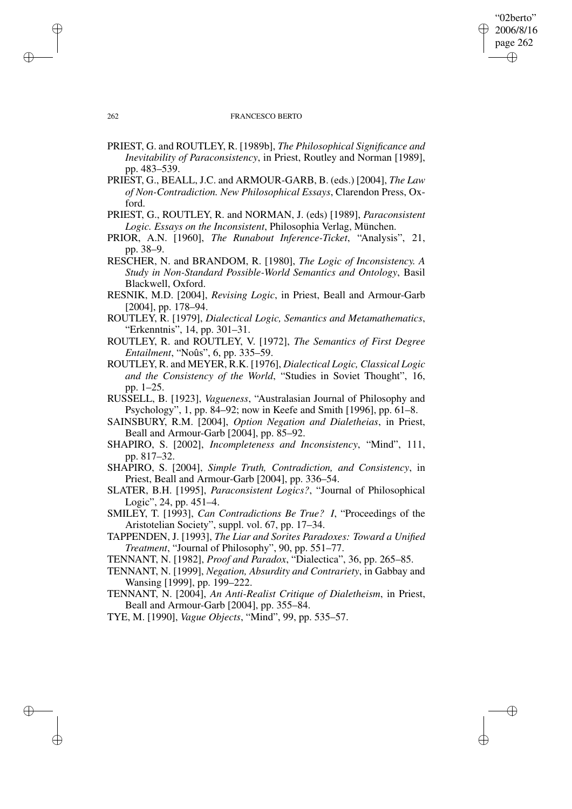## 262 FRANCESCO BERTO

"02berto" 2006/8/16 page 262

✐

✐

✐

✐

- PRIEST, G. and ROUTLEY, R. [1989b], *The Philosophical Significance and Inevitability of Paraconsistency*, in Priest, Routley and Norman [1989], pp. 483–539.
- PRIEST, G., BEALL, J.C. and ARMOUR-GARB, B. (eds.) [2004], *The Law of Non-Contradiction. New Philosophical Essays*, Clarendon Press, Oxford.

PRIEST, G., ROUTLEY, R. and NORMAN, J. (eds) [1989], *Paraconsistent Logic. Essays on the Inconsistent*, Philosophia Verlag, München.

PRIOR, A.N. [1960], *The Runabout Inference-Ticket*, "Analysis", 21, pp. 38–9.

RESCHER, N. and BRANDOM, R. [1980], *The Logic of Inconsistency. A Study in Non-Standard Possible-World Semantics and Ontology*, Basil Blackwell, Oxford.

- RESNIK, M.D. [2004], *Revising Logic*, in Priest, Beall and Armour-Garb [2004], pp. 178–94.
- ROUTLEY, R. [1979], *Dialectical Logic, Semantics and Metamathematics*, "Erkenntnis", 14, pp. 301–31.

ROUTLEY, R. and ROUTLEY, V. [1972], *The Semantics of First Degree Entailment*, "Noûs", 6, pp. 335–59.

ROUTLEY, R. and MEYER, R.K. [1976], *Dialectical Logic, Classical Logic and the Consistency of the World*, "Studies in Soviet Thought", 16, pp. 1–25.

RUSSELL, B. [1923], *Vagueness*, "Australasian Journal of Philosophy and Psychology", 1, pp. 84–92; now in Keefe and Smith [1996], pp. 61–8.

SAINSBURY, R.M. [2004], *Option Negation and Dialetheias*, in Priest, Beall and Armour-Garb [2004], pp. 85–92.

SHAPIRO, S. [2002], *Incompleteness and Inconsistency*, "Mind", 111, pp. 817–32.

SHAPIRO, S. [2004], *Simple Truth, Contradiction, and Consistency*, in Priest, Beall and Armour-Garb [2004], pp. 336–54.

SLATER, B.H. [1995], *Paraconsistent Logics?*, "Journal of Philosophical Logic", 24, pp. 451–4.

SMILEY, T. [1993], *Can Contradictions Be True? I*, "Proceedings of the Aristotelian Society", suppl. vol. 67, pp. 17–34.

TAPPENDEN, J. [1993], *The Liar and Sorites Paradoxes: Toward a Unified Treatment*, "Journal of Philosophy", 90, pp. 551–77.

TENNANT, N. [1982], *Proof and Paradox*, "Dialectica", 36, pp. 265–85.

TENNANT, N. [1999], *Negation, Absurdity and Contrariety*, in Gabbay and Wansing [1999], pp. 199–222.

TENNANT, N. [2004], *An Anti-Realist Critique of Dialetheism*, in Priest, Beall and Armour-Garb [2004], pp. 355–84.

TYE, M. [1990], *Vague Objects*, "Mind", 99, pp. 535–57.

✐

✐

✐